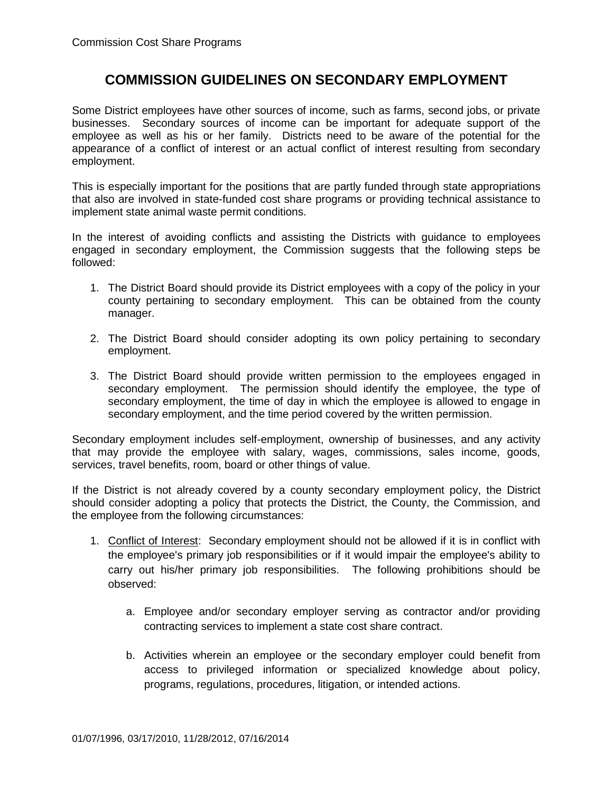## **COMMISSION GUIDELINES ON SECONDARY EMPLOYMENT**

Some District employees have other sources of income, such as farms, second jobs, or private businesses. Secondary sources of income can be important for adequate support of the employee as well as his or her family. Districts need to be aware of the potential for the appearance of a conflict of interest or an actual conflict of interest resulting from secondary employment.

This is especially important for the positions that are partly funded through state appropriations that also are involved in state-funded cost share programs or providing technical assistance to implement state animal waste permit conditions.

In the interest of avoiding conflicts and assisting the Districts with guidance to employees engaged in secondary employment, the Commission suggests that the following steps be followed:

- 1. The District Board should provide its District employees with a copy of the policy in your county pertaining to secondary employment. This can be obtained from the county manager.
- 2. The District Board should consider adopting its own policy pertaining to secondary employment.
- 3. The District Board should provide written permission to the employees engaged in secondary employment. The permission should identify the employee, the type of secondary employment, the time of day in which the employee is allowed to engage in secondary employment, and the time period covered by the written permission.

Secondary employment includes self-employment, ownership of businesses, and any activity that may provide the employee with salary, wages, commissions, sales income, goods, services, travel benefits, room, board or other things of value.

If the District is not already covered by a county secondary employment policy, the District should consider adopting a policy that protects the District, the County, the Commission, and the employee from the following circumstances:

- 1. Conflict of Interest: Secondary employment should not be allowed if it is in conflict with the employee's primary job responsibilities or if it would impair the employee's ability to carry out his/her primary job responsibilities. The following prohibitions should be observed:
	- a. Employee and/or secondary employer serving as contractor and/or providing contracting services to implement a state cost share contract.
	- b. Activities wherein an employee or the secondary employer could benefit from access to privileged information or specialized knowledge about policy, programs, regulations, procedures, litigation, or intended actions.